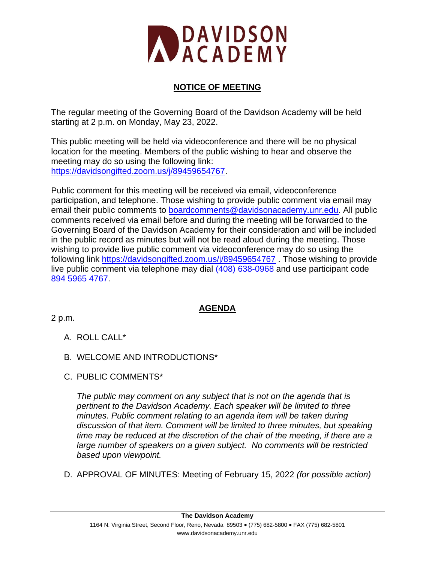

# **NOTICE OF MEETING**

The regular meeting of the Governing Board of the Davidson Academy will be held starting at 2 p.m. on Monday, May 23, 2022.

This public meeting will be held via videoconference and there will be no physical location for the meeting. Members of the public wishing to hear and observe the meeting may do so using the following link: [https://davidsongifted.zoom.us/j/89459654767.](https://davidsongifted.zoom.us/j/89459654767)

Public comment for this meeting will be received via email, videoconference participation, and telephone. Those wishing to provide public comment via email may email their public comments to [boardcomments@davidsonacademy.unr.edu.](mailto:boardcomments@davidsonacademy.unr.edu) All public comments received via email before and during the meeting will be forwarded to the Governing Board of the Davidson Academy for their consideration and will be included in the public record as minutes but will not be read aloud during the meeting. Those wishing to provide live public comment via videoconference may do so using the following link<https://davidsongifted.zoom.us/j/89459654767> . Those wishing to provide live public comment via telephone may dial (408) 638-0968 and use participant code 894 5965 4767.

## **AGENDA**

2 p.m.

- A. ROLL CALL\*
- B. WELCOME AND INTRODUCTIONS\*
- C. PUBLIC COMMENTS\*

*The public may comment on any subject that is not on the agenda that is pertinent to the Davidson Academy. Each speaker will be limited to three minutes. Public comment relating to an agenda item will be taken during discussion of that item. Comment will be limited to three minutes, but speaking time may be reduced at the discretion of the chair of the meeting, if there are a large number of speakers on a given subject. No comments will be restricted based upon viewpoint.*

D. APPROVAL OF MINUTES: Meeting of February 15, 2022 *(for possible action)*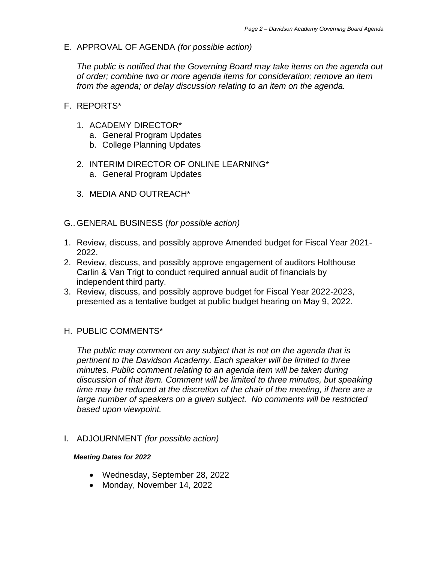E. APPROVAL OF AGENDA *(for possible action)*

*The public is notified that the Governing Board may take items on the agenda out of order; combine two or more agenda items for consideration; remove an item from the agenda; or delay discussion relating to an item on the agenda.* 

- F. REPORTS\*
	- 1. ACADEMY DIRECTOR\*
		- a. General Program Updates
		- b. College Planning Updates
	- 2. INTERIM DIRECTOR OF ONLINE LEARNING\* a. General Program Updates
	- 3. MEDIA AND OUTREACH\*
- G.. GENERAL BUSINESS (*for possible action)*
- 1. Review, discuss, and possibly approve Amended budget for Fiscal Year 2021- 2022.
- 2. Review, discuss, and possibly approve engagement of auditors Holthouse Carlin & Van Trigt to conduct required annual audit of financials by independent third party.
- 3. Review, discuss, and possibly approve budget for Fiscal Year 2022-2023, presented as a tentative budget at public budget hearing on May 9, 2022.
- H. PUBLIC COMMENTS\*

*The public may comment on any subject that is not on the agenda that is pertinent to the Davidson Academy. Each speaker will be limited to three minutes. Public comment relating to an agenda item will be taken during discussion of that item. Comment will be limited to three minutes, but speaking time may be reduced at the discretion of the chair of the meeting, if there are a large number of speakers on a given subject. No comments will be restricted based upon viewpoint.*

I. ADJOURNMENT *(for possible action)*

### *Meeting Dates for 2022*

- Wednesday, September 28, 2022
- Monday, November 14, 2022